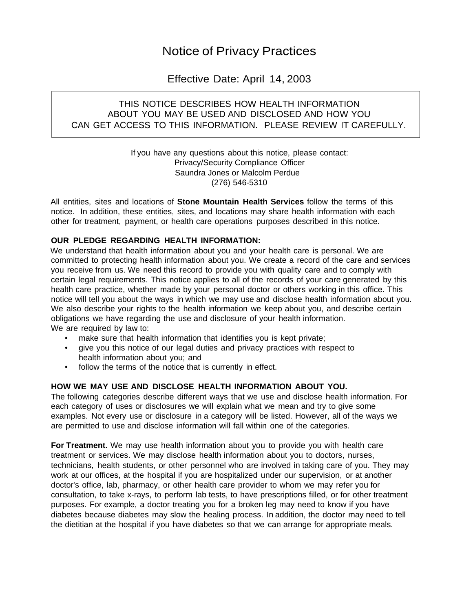# Notice of Privacy Practices

# Effective Date: April 14, 2003

## THIS NOTICE DESCRIBES HOW HEALTH INFORMATION ABOUT YOU MAY BE USED AND DISCLOSED AND HOW YOU CAN GET ACCESS TO THIS INFORMATION. PLEASE REVIEW IT CAREFULLY.

If you have any questions about this notice, please contact: Privacy/Security Compliance Officer Saundra Jones or Malcolm Perdue (276) 546-5310

All entities, sites and locations of **Stone Mountain Health Services** follow the terms of this notice. In addition, these entities, sites, and locations may share health information with each other for treatment, payment, or health care operations purposes described in this notice.

### **OUR PLEDGE REGARDING HEALTH INFORMATION:**

We understand that health information about you and your health care is personal. We are committed to protecting health information about you. We create a record of the care and services you receive from us. We need this record to provide you with quality care and to comply with certain legal requirements. This notice applies to all of the records of your care generated by this health care practice, whether made by your personal doctor or others working in this office. This notice will tell you about the ways in which we may use and disclose health information about you. We also describe your rights to the health information we keep about you, and describe certain obligations we have regarding the use and disclosure of your health information. We are required by law to:

- make sure that health information that identifies you is kept private;
- give you this notice of our legal duties and privacy practices with respect to health information about you; and
- follow the terms of the notice that is currently in effect.

### **HOW WE MAY USE AND DISCLOSE HEALTH INFORMATION ABOUT YOU.**

The following categories describe different ways that we use and disclose health information. For each category of uses or disclosures we will explain what we mean and try to give some examples. Not every use or disclosure in a category will be listed. However, all of the ways we are permitted to use and disclose information will fall within one of the categories.

**For Treatment.** We may use health information about you to provide you with health care treatment or services. We may disclose health information about you to doctors, nurses, technicians, health students, or other personnel who are involved in taking care of you. They may work at our offices, at the hospital if you are hospitalized under our supervision, or at another doctor's office, lab, pharmacy, or other health care provider to whom we may refer you for consultation, to take x-rays, to perform lab tests, to have prescriptions filled, or for other treatment purposes. For example, a doctor treating you for a broken leg may need to know if you have diabetes because diabetes may slow the healing process. In addition, the doctor may need to tell the dietitian at the hospital if you have diabetes so that we can arrange for appropriate meals.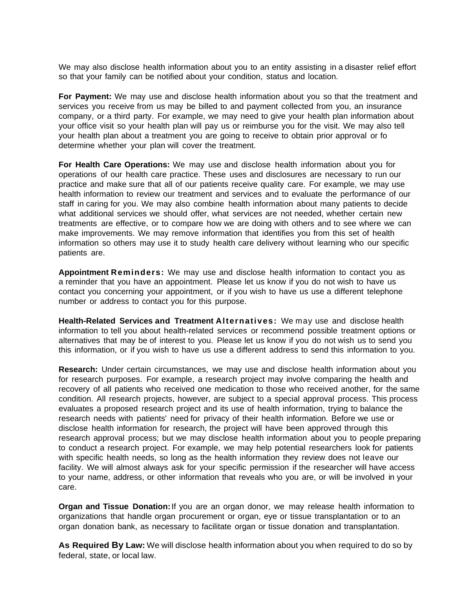We may also disclose health information about you to an entity assisting in a disaster relief effort so that your family can be notified about your condition, status and location.

**For Payment:** We may use and disclose health information about you so that the treatment and services you receive from us may be billed to and payment collected from you, an insurance company, or a third party. For example, we may need to give your health plan information about your office visit so your health plan will pay us or reimburse you for the visit. We may also tell your health plan about a treatment you are going to receive to obtain prior approval or fo determine whether your plan will cover the treatment.

**For Health Care Operations:** We may use and disclose health information about you for operations of our health care practice. These uses and disclosures are necessary to run our practice and make sure that all of our patients receive quality care. For example, we may use health information to review our treatment and services and to evaluate the performance of our staff in caring for you. We may also combine health information about many patients to decide what additional services we should offer, what services are not needed, whether certain new treatments are effective, or to compare how we are doing with others and to see where we can make improvements. We may remove information that identifies you from this set of health information so others may use it to study health care delivery without learning who our specific patients are.

**Appointment Reminders:** We may use and disclose health information to contact you as a reminder that you have an appointment. Please let us know if you do not wish to have us contact you concerning your appointment, or if you wish to have us use a different telephone number or address to contact you for this purpose.

**Health-Related Services and Treatment Alternatives:** We may use and disclose health information to tell you about health-related services or recommend possible treatment options or alternatives that may be of interest to you. Please let us know if you do not wish us to send you this information, or if you wish to have us use a different address to send this information to you.

**Research:** Under certain circumstances, we may use and disclose health information about you for research purposes. For example, a research project may involve comparing the health and recovery of all patients who received one medication to those who received another, for the same condition. All research projects, however, are subject to a special approval process. This process evaluates a proposed research project and its use of health information, trying to balance the research needs with patients' need for privacy of their health information. Before we use or disclose health information for research, the project will have been approved through this research approval process; but we may disclose health information about you to people preparing to conduct a research project. For example, we may help potential researchers look for patients with specific health needs, so long as the health information they review does not leave our facility. We will almost always ask for your specific permission if the researcher will have access to your name, address, or other information that reveals who you are, or will be involved in your care.

**Organ and Tissue Donation:** If you are an organ donor, we may release health information to organizations that handle organ procurement or organ, eye or tissue transplantation or to an organ donation bank, as necessary to facilitate organ or tissue donation and transplantation.

**As Required By Law:** We will disclose health information about you when required to do so by federal, state, or local law.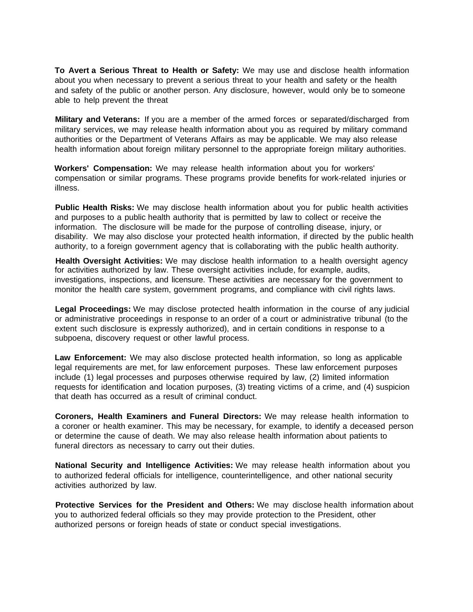**To Avert a Serious Threat to Health or Safety:** We may use and disclose health information about you when necessary to prevent a serious threat to your health and safety or the health and safety of the public or another person. Any disclosure, however, would only be to someone able to help prevent the threat

**Military and Veterans:** If you are a member of the armed forces or separated/discharged from military services, we may release health information about you as required by military command authorities or the Department of Veterans Affairs as may be applicable. We may also release health information about foreign military personnel to the appropriate foreign military authorities.

**Workers' Compensation:** We may release health information about you for workers' compensation or similar programs. These programs provide benefits for work-related injuries or illness.

**Public Health Risks:** We may disclose health information about you for public health activities and purposes to a public health authority that is permitted by law to collect or receive the information. The disclosure will be made for the purpose of controlling disease, injury, or disability. We may also disclose your protected health information, if directed by the public health authority, to a foreign government agency that is collaborating with the public health authority.

**Health Oversight Activities:** We may disclose health information to a health oversight agency for activities authorized by law. These oversight activities include, for example, audits, investigations, inspections, and licensure. These activities are necessary for the government to monitor the health care system, government programs, and compliance with civil rights laws.

**Legal Proceedings:** We may disclose protected health information in the course of any judicial or administrative proceedings in response to an order of a court or administrative tribunal (to the extent such disclosure is expressly authorized), and in certain conditions in response to a subpoena, discovery request or other lawful process.

**Law Enforcement:** We may also disclose protected health information, so long as applicable legal requirements are met, for law enforcement purposes. These law enforcement purposes include (1) legal processes and purposes otherwise required by law, (2) limited information requests for identification and location purposes, (3) treating victims of a crime, and (4) suspicion that death has occurred as a result of criminal conduct.

**Coroners, Health Examiners and Funeral Directors:** We may release health information to a coroner or health examiner. This may be necessary, for example, to identify a deceased person or determine the cause of death. We may also release health information about patients to funeral directors as necessary to carry out their duties.

**National Security and Intelligence Activities:** We may release health information about you to authorized federal officials for intelligence, counterintelligence, and other national security activities authorized by law.

**Protective Services for the President and Others:** We may disclose health information about you to authorized federal officials so they may provide protection to the President, other authorized persons or foreign heads of state or conduct special investigations.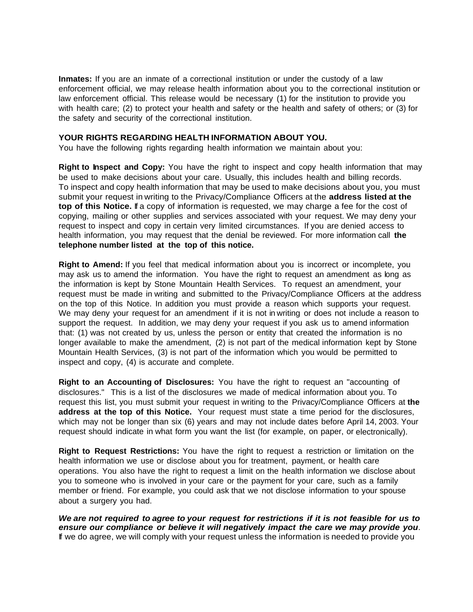**Inmates:** If you are an inmate of a correctional institution or under the custody of a law enforcement official, we may release health information about you to the correctional institution or law enforcement official. This release would be necessary (1) for the institution to provide you with health care; (2) to protect your health and safety or the health and safety of others; or (3) for the safety and security of the correctional institution.

#### **YOUR RIGHTS REGARDING HEALTH INFORMATION ABOUT YOU.**

You have the following rights regarding health information we maintain about you:

**Right to Inspect and Copy:** You have the right to inspect and copy health information that may be used to make decisions about your care. Usually, this includes health and billing records. To inspect and copy health information that may be used to make decisions about you, you must submit your request in writing to the Privacy/Compliance Officers at the **address listed at the top of this Notice.** If a copy of information is requested, we may charge a fee for the cost of copying, mailing or other supplies and services associated with your request. We may deny your request to inspect and copy in certain very limited circumstances. If you are denied access to health information, you may request that the denial be reviewed. For more information call **the telephone number listed at the top of this notice.**

**Right to Amend:** If you feel that medical information about you is incorrect or incomplete, you may ask us to amend the information. You have the right to request an amendment as long as the information is kept by Stone Mountain Health Services. To request an amendment, your request must be made in writing and submitted to the Privacy/Compliance Officers at the address on the top of this Notice. In addition you must provide a reason which supports your request. We may deny your request for an amendment if it is not in writing or does not include a reason to support the request. In addition, we may deny your request if you ask us to amend information that: (1) was not created by us, unless the person or entity that created the information is no longer available to make the amendment, (2) is not part of the medical information kept by Stone Mountain Health Services, (3) is not part of the information which you would be permitted to inspect and copy, (4) is accurate and complete.

**Right to an Accounting of Disclosures:** You have the right to request an "accounting of disclosures." This is a list of the disclosures we made of medical information about you. To request this list, you must submit your request in writing to the Privacy/Compliance Officers at **the address at the top of this Notice.** Your request must state a time period for the disclosures, which may not be longer than six (6) years and may not include dates before April 14, 2003. Your request should indicate in what form you want the list (for example, on paper, or electronically).

**Right to Request Restrictions:** You have the right to request a restriction or limitation on the health information we use or disclose about you for treatment, payment, or health care operations. You also have the right to request a limit on the health information we disclose about you to someone who is involved in your care or the payment for your care, such as a family member or friend. For example, you could ask that we not disclose information to your spouse about a surgery you had.

*We are not required to agree to your request for restrictions if it is not feasible for us to ensure our compliance or believe it will negatively impact the care we may provide you*. If we do agree, we will comply with your request unless the information is needed to provide you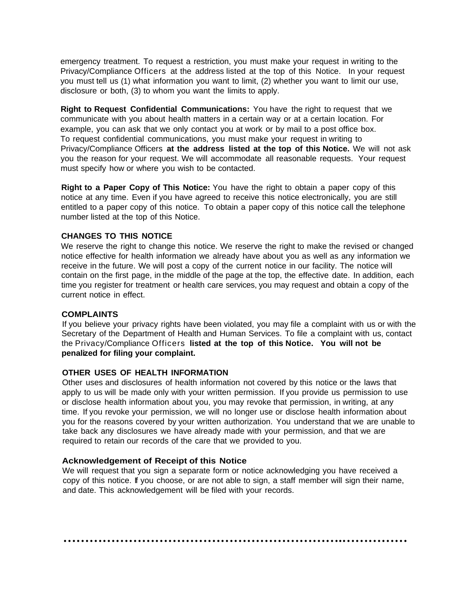emergency treatment. To request a restriction, you must make your request in writing to the Privacy/Compliance Officers at the address listed at the top of this Notice. In your request you must tell us (1) what information you want to limit, (2) whether you want to limit our use, disclosure or both, (3) to whom you want the limits to apply.

**Right to Request Confidential Communications:** You have the right to request that we communicate with you about health matters in a certain way or at a certain location. For example, you can ask that we only contact you at work or by mail to a post office box. To request confidential communications, you must make your request in writing to Privacy/Compliance Officers **at the address listed at the top of this Notice.** We will not ask you the reason for your request. We will accommodate all reasonable requests. Your request must specify how or where you wish to be contacted.

**Right to a Paper Copy of This Notice:** You have the right to obtain a paper copy of this notice at any time. Even if you have agreed to receive this notice electronically, you are still entitled to a paper copy of this notice. To obtain a paper copy of this notice call the telephone number listed at the top of this Notice.

#### **CHANGES TO THIS NOTICE**

We reserve the right to change this notice. We reserve the right to make the revised or changed notice effective for health information we already have about you as well as any information we receive in the future. We will post a copy of the current notice in our facility. The notice will contain on the first page, in the middle of the page at the top, the effective date. In addition, each time you register for treatment or health care services, you may request and obtain a copy of the current notice in effect.

#### **COMPLAINTS**

If you believe your privacy rights have been violated, you may file a complaint with us or with the Secretary of the Department of Health and Human Services. To file a complaint with us, contact the Privacy/Compliance Officers **listed at the top of this Notice. You will not be penalized for filing your complaint.** 

#### **OTHER USES OF HEALTH INFORMATION**

Other uses and disclosures of health information not covered by this notice or the laws that apply to us will be made only with your written permission. If you provide us permission to use or disclose health information about you, you may revoke that permission, in writing, at any time. If you revoke your permission, we will no longer use or disclose health information about you for the reasons covered by your written authorization. You understand that we are unable to take back any disclosures we have already made with your permission, and that we are required to retain our records of the care that we provided to you.

#### **Acknowledgement of Receipt of this Notice**

We will request that you sign a separate form or notice acknowledging you have received a copy of this notice. If you choose, or are not able to sign, a staff member will sign their name, and date. This acknowledgement will be filed with your records.

**……………………………………………………….……………**